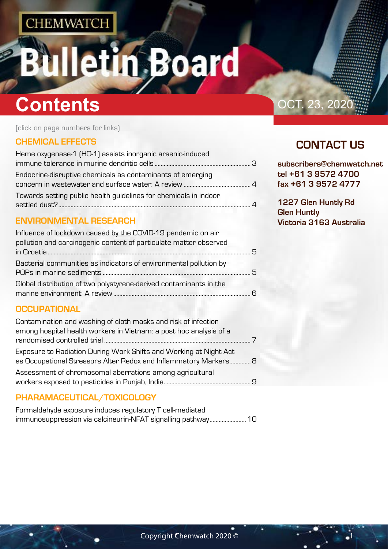## etin Board 18

## **Contents Contents OCT.** 23, 2020

(click on page numbers for links)

### **[CHEMICAL EFFECTS](#page-1-0)**

| Heme oxygenase-1 (HO-1) assists inorganic arsenic-induced        |  |
|------------------------------------------------------------------|--|
|                                                                  |  |
| Endocrine-disruptive chemicals as contaminants of emerging       |  |
|                                                                  |  |
| Towards setting public health guidelines for chemicals in indoor |  |
|                                                                  |  |

### **[ENVIRONMENTAL RESEARCH](#page-2-0)**

| Influence of lockdown caused by the COVID-19 pandemic on air       |     |
|--------------------------------------------------------------------|-----|
| pollution and carcinogenic content of particulate matter observed  |     |
|                                                                    | 5   |
| Bacterial communities as indicators of environmental pollution by  |     |
|                                                                    | - 5 |
| Global distribution of two polystyrene-derived contaminants in the |     |
|                                                                    |     |

### **[OCCUPATIONAL](#page-3-0)**

| Contamination and washing of cloth masks and risk of infection     |  |
|--------------------------------------------------------------------|--|
| among hospital health workers in Vietnam: a post hoc analysis of a |  |
|                                                                    |  |
| Exposure to Radiation During Work Shifts and Working at Night Act  |  |
| as Occupational Stressors Alter Redox and Inflammatory Markers 8   |  |
| Assessment of chromosomal aberrations among agricultural           |  |
|                                                                    |  |

## **[PHARAMACEUTICAL/TOXICOLOGY](#page-4-0)**

| Formaldehyde exposure induces regulatory T cell-mediated     |  |
|--------------------------------------------------------------|--|
| immunosuppression via calcineurin-NFAT signalling pathway 10 |  |

## **CONTACT US**

**subscribers@chemwatch.net tel +61 3 9572 4700 fax +61 3 9572 4777**

**1227 Glen Huntly Rd Glen Huntly Victoria 3163 Australia**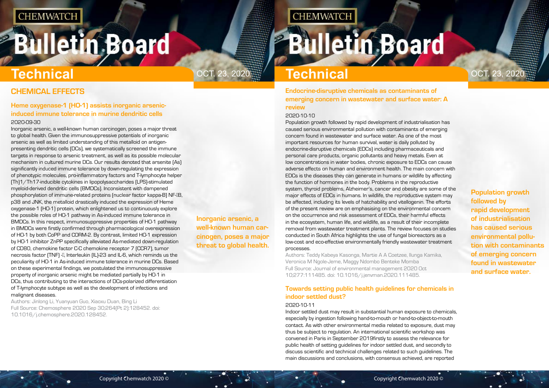# <span id="page-1-0"></span>**Bulletin Board**

**Inorganic arsenic, a well-known human carcinogen, poses a major threat to global health.**

**CHEMWATCH** 

**Population growth followed by rapid development of industrialisation has caused serious environmental pollution with contaminants of emerging concern found in wastewater and surface water.**

## **CHEMICAL EFFECTS**

### **Heme oxygenase-1 (HO-1) assists inorganic arsenicinduced immune tolerance in murine dendritic cells** 2020-09-30

Inorganic arsenic, a well-known human carcinogen, poses a major threat to global health. Given the immunosuppressive potentials of inorganic arsenic as well as limited understanding of this metalloid on antigenpresenting dendritic cells (DCs), we systematically screened the immune targets in response to arsenic treatment, as well as its possible molecular mechanism in cultured murine DCs. Our results denoted that arsenite (As) significantly induced immune tolerance by down-regulating the expression of phenotypic molecules, pro-inflammatory factors and T-lymphocyte helper (Th)1/Th17-inducible cytokines in lipopolysaccharides (LPS)-stimulated myeloid-derived dendritic cells (BMDCs). Inconsistent with dampened phosphorylation of immune-related proteins (nuclear factor kappa-B) NF-IB, p38 and JNK, the metalloid drastically induced the expression of Heme oxygenase-1 (HO-1) protein, which enlightened us to continuously explore the possible roles of HO-1 pathway in As-induced immune tolerance in BMDCs. In this respect, immunosuppressive properties of HO-1 pathway in BMDCs were firstly confirmed through pharmacological overexpression of HO-1 by both CoPP and CORM-2. By contrast, limited HO-1 expression by HO-1 inhibitor ZnPP specifically alleviated As-mediated down-regulation of CD80, chemokine factor C-C chemokine receptor 7 (CCR7), tumor necrosis factor (TNF) -[], Interleukin (IL)-23 and IL-6, which reminds us the peculiarity of HO-1 in As-induced immune tolerance in murine DCs. Based on these experimental findings, we postulated the immunosuppressive property of inorganic arsenic might be mediated partially by HO-1 in DCs, thus contributing to the interactions of DCs-polarized differentiation of T-lymphocyte subtype as well as the development of infections and malignant diseases.

Authors: Jinlong Li, Yuanyuan Guo, Xiaoxu Duan, Bing Li Full Source: Chemosphere 2020 Sep 30;264(Pt 2):128452. doi: 10.1016/j.chemosphere.2020.128452.

## **Technical**

ОСТ. 23, 2020 <u>—</u> <mark>Technical</mark> — <u>Ост. 23, 2020</u>

**Endocrine-disruptive chemicals as contaminants of emerging concern in wastewater and surface water: A review**

#### 2020-10-10

Population growth followed by rapid development of industrialisation has caused serious environmental pollution with contaminants of emerging concern found in wastewater and surface water. As one of the most important resources for human survival, water is daily polluted by endocrine-disruptive chemicals (EDCs) including pharmaceuticals and personal care products, organic pollutants and heavy metals. Even at low concentrations in water bodies, chronic exposure to EDCs can cause adverse effects on human and environment health. The main concern with EDCs is the diseases they can generate in humans or wildlife by affecting the function of hormones in the body. Problems in the reproductive system, thyroid problems, Alzheimer's, cancer and obesity are some of the major effects of EDCs in humans. In wildlife, the reproductive system may be affected, including its levels of hatchability and vitellogenin. The efforts of the present review are on emphasising on the environmental concern on the occurrence and risk assessment of EDCs, their harmful effects in the ecosystem, human life, and wildlife, as a result of their incomplete removal from wastewater treatment plants. The review focuses on studies conducted in South Africa highlights the use of fungal bioreactors as a low-cost and eco-effective environmentally friendly wastewater treatment processes.

Authors: Teddy Kabeya Kasonga, Martie A A Coetzee, Ilunga Kamika, Veronica M Ngole-Jeme, Maggy Ndombo Benteke Momba Full Source: Journal of environmental management 2020 Oct 10;277:111485. doi: 10.1016/j.jenvman.2020.111485.

## **Towards setting public health guidelines for chemicals in indoor settled dust?**

#### 2020-10-11

Indoor settled dust may result in substantial human exposure to chemicals, especially by ingestion following hand-to-mouth or hand-to-object-to-mouth contact. As with other environmental media related to exposure, dust may thus be subject to regulation. An international scientific workshop was convened in Paris in September 2019firstly to assess the relevance for public health of setting guidelines for indoor settled dust, and secondly to discuss scientific and technical challenges related to such guidelines. The main discussions and conclusions, with consensus achieved, are reported

## **Bulletin Board**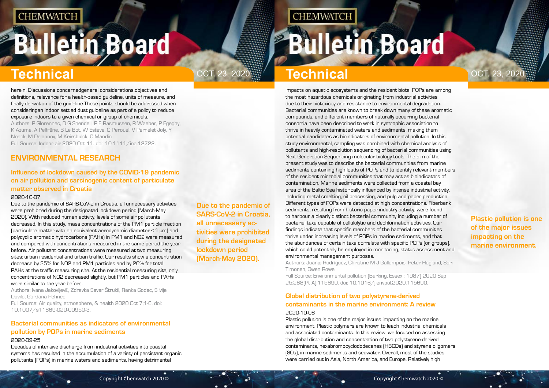# <span id="page-2-0"></span>**Bulletin Board**

**Due to the pandemic of SARS-CoV-2 in Croatia, all unnecessary activities were prohibited during the designated lockdown period (March-May 2020).**

## OCT. 23, 2020  $\frac{23}{200}$  **Technical** and the contract of the contract of  $\frac{1}{2}$  OCT. 23, 2020

**CHEMWATCH** 

**Plastic pollution is one of the major issues impacting on the marine environment.**

## **Technical Technical**

herein. Discussions concernedgeneral considerations,objectives and definitions, relevance for a health-based guideline, units of measure, and finally derivation of the guideline.These points should be addressed when consideringan indoor settled dust guideline as part of a policy to reduce exposure indoors to a given chemical or group of chemicals.

Authors: P Glorennec, D G Shendell, P E Rasmussen, R Waeber, P Egeghy, K Azuma, A Pelfrêne, B Le Bot, W Esteve, G Perouel, V Pernelet Joly, Y Noack, M Delannoy, M Keirsbulck, C Mandin Full Source: Indoor air 2020 Oct 11. doi: 10.1111/ina.12722.

## **ENVIRONMENTAL RESEARCH**

## **Influence of lockdown caused by the COVID-19 pandemic on air pollution and carcinogenic content of particulate matter observed in Croatia**

Authors: Ivana Jakovljevil, Zdravka Sever Štrukil, Ranka Godec, Silvije Davila, Gordana Pehnec

#### 2020-10-07

Due to the pandemic of SARS-CoV-2 in Croatia, all unnecessary activities were prohibited during the designated lockdown period (March-May 2020). With reduced human activity, levels of some air pollutants decreased. In this study, mass concentrations of the PM1 particle fraction (particulate matter with an equivalent aerodynamic diameter < 1 μm) and polycyclic aromatic hydrocarbons (PAHs) in PM1 and NO2 were measured and compared with concentrations measured in the same period the year before. Air pollutant concentrations were measured at two measuring sites: urban residential and urban traffic. Our results show a concentration decrease by 35% for NO2 and PM1 particles and by 26% for total PAHs at the traffic measuring site. At the residential measuring site, only concentrations of NO2 decreased slightly, but PM1 particles and PAHs were similar to the year before.

Full Source: Air quality, atmosphere, & health 2020 Oct 7;1-6. doi: 10.1007/s11869-020-00950-3.

## **Bacterial communities as indicators of environmental pollution by POPs in marine sediments**

#### 2020-09-25

Decades of intensive discharge from industrial activities into coastal systems has resulted in the accumulation of a variety of persistent organic pollutants (POPs) in marine waters and sediments, having detrimental

impacts on aquatic ecosystems and the resident biota. POPs are among the most hazardous chemicals originating from industrial activities due to their biotoxicity and resistance to environmental degradation. Bacterial communities are known to break down many of these aromatic compounds, and different members of naturally occurring bacterial consortia have been described to work in syntrophic association to thrive in heavily contaminated waters and sediments, making them potential candidates as bioindicators of environmental pollution. In this study environmental, sampling was combined with chemical analysis of pollutants and high-resolution sequencing of bacterial communities using Next Generation Sequencing molecular biology tools. The aim of the present study was to describe the bacterial communities from marine sediments containing high loads of POPs and to identify relevant members of the resident microbial communities that may act as bioindicators of contamination. Marine sediments were collected from a coastal bay area of the Baltic Sea historically influenced by intense industrial activity, including metal smelting, oil processing, and pulp and paper production. Different types of POPs were detected at high concentrations. Fiberbank sediments, resulting from historic paper industry activity, were found to harbour a clearly distinct bacterial community including a number of bacterial taxa capable of cellulolytic and dechlorination activities. Our findings indicate that specific members of the bacterial communities thrive under increasing levels of POPs in marine sediments, and that the abundances of certain taxa correlate with specific POPs (or groups), which could potentially be employed in monitoring, status assessment and environmental management purposes.

Authors: Juanjo Rodríguez, Christine M J Gallampois, Peter Haglund, Sari Timonen, Owen Rowe

Full Source: Environmental pollution (Barking, Essex : 1987) 2020 Sep 25;268(Pt A):115690. doi: 10.1016/j.envpol.2020.115690.

## **Global distribution of two polystyrene-derived contaminants in the marine environment: A review** 2020-10-08

Plastic pollution is one of the major issues impacting on the marine environment. Plastic polymers are known to leach industrial chemicals and associated contaminants. In this review, we focused on assessing the global distribution and concentration of two polystyrene-derived contaminants, hexabromocyclododecanes (HBCDs) and styrene oligomers (SOs), in marine sediments and seawater. Overall, most of the studies were carried out in Asia, North America, and Europe. Relatively high

# **Bulletin Board**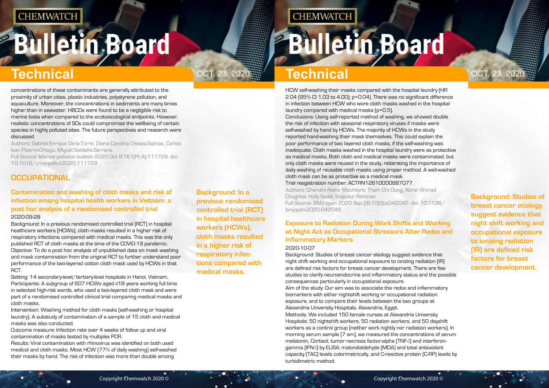# <span id="page-3-0"></span>**Bulletin Board**

**Background: In a previous randomised controlled trial (RCT) in hospital healthcare workers (HCWs), cloth masks resulted in a higher risk of respiratory infections compared with medical masks.**

## OCT. 23, 2020  $\frac{23}{200}$  **Technical** and the contract of the contract of  $\frac{1}{2}$  OCT. 23, 2020

**CHEMWATCH** 

**Background: Studies of breast cancer etiology suggest evidence that night shift working and occupational exposure to ionizing radiation (IR) are defined risk factors for breast cancer development.**

## **Technical Technical**

concentrations of these contaminants are generally attributed to the proximity of urban cities, plastic industries, polystyrene pollution, and aquaculture. Moreover, the concentrations in sediments are many times higher than in seawater. HBCDs were found to be a negligible risk to marine biota when compared to the ecotoxicological endpoints. However, realistic concentrations of SOs could compromise the wellbeing of certain species in highly polluted sites. The future perspectives and research were discussed.

Authors: Gabriel Enrique De-la-Torre, Diana Carolina Dioses-Salinas, Carlos Ivan Pizarro-Ortega, Miguel Saldaña-Serrano

Setting: 14 secondary-level/tertiary-level hospitals in Hanoi, Vietnam. Participants: A subgroup of 607 HCWs aged ≥18 years working full time in selected high-risk wards, who used a two-layered cloth mask and were part of a randomised controlled clinical trial comparing medical masks and cloth masks.

Full Source: Marine pollution bulletin 2020 Oct 8;161(Pt A):111729. doi: 10.1016/j.marpolbul.2020.111729.

## **OCCUPATIONAL**

### **Contamination and washing of cloth masks and risk of infection among hospital health workers in Vietnam: a post hoc analysis of a randomised controlled trial** 2020-09-28

Background: In a previous randomised controlled trial (RCT) in hospital healthcare workers (HCWs), cloth masks resulted in a higher risk of respiratory infections compared with medical masks. This was the only published RCT of cloth masks at the time of the COVID-19 pandemic. Objective: To do a post hoc analysis of unpublished data on mask washing and mask contamination from the original RCT to further understand poor performance of the two-layered cotton cloth mask used by HCWs in that RCT.

Intervention: Washing method for cloth masks (self-washing or hospital laundry). A substudy of contamination of a sample of 15 cloth and medical masks was also conducted.

Outcome measure: Infection rate over 4 weeks of follow up and viral contamination of masks tested by multiplex PCR.

Results: Viral contamination with rhinovirus was identified on both used medical and cloth masks. Most HCW (77% of daily washing) self-washed their masks by hand. The risk of infection was more than double among

HCW self-washing their masks compared with the hospital laundry (HR 2.04 (95% CI 1.03 to 4.00); p=0.04). There was no significant difference in infection between HCW who wore cloth masks washed in the hospital laundry compared with medical masks (p=0.5).

Conclusions: Using self-reported method of washing, we showed double the risk of infection with seasonal respiratory viruses if masks were self-washed by hand by HCWs. The majority of HCWs in the study reported hand-washing their mask themselves. This could explain the poor performance of two layered cloth masks, if the self-washing was inadequate. Cloth masks washed in the hospital laundry were as protective as medical masks. Both cloth and medical masks were contaminated, but only cloth masks were reused in the study, reiterating the importance of daily washing of reusable cloth masks using proper method. A well-washed cloth mask can be as protective as a medical mask. Trial resgistration number: ACTRN12610000887077. Authors: Chandini Raina MacIntyre, Tham Chi Dung, Abrar Ahmad Chughtai, Holly Seale, Bayzidur Rahman

Full Source: BMJ open 2020 Sep 28;10(9):e042045. doi: 10.1136/ bmjopen-2020-042045.

## **Exposure to Radiation During Work Shifts and Working at Night Act as Occupational Stressors Alter Redox and Inflammatory Markers**

#### 2020-10-07

Background: Studies of breast cancer etiology suggest evidence that night shift working and occupational exposure to ionizing radiation (IR) are defined risk factors for breast cancer development. There are few studies to clarify neuroendocrine and inflammatory status and the possible consequences particularly in occupational exposure. Aim of the study: Our aim was to associate the redox and inflammatory biomarkers with either nightshift working or occupational radiation exposure, and to compare their levels between the two groups at Alexandria University Hospitals, Alexandria, Egypt. Methods: We included 150 female nurses at Alexandria University Hospitals: 50 nightshift workers, 50 radiation workers, and 50 dayshift workers as a control group (neither work nightly nor radiation workers). In morning serum sample (7 am), we measured the concentrations of serum melatonin, Cortisol, tumor necrosis factor-alpha (TNF-I) and interferongamma (IFN-I) by ELISA; malondialdehyde (MDA) and total antioxidant capacity (TAC) levels colorimetrically, and C-reactive protein (C-RP) levels by

**Bulletin Board** 

turbidimetric method.